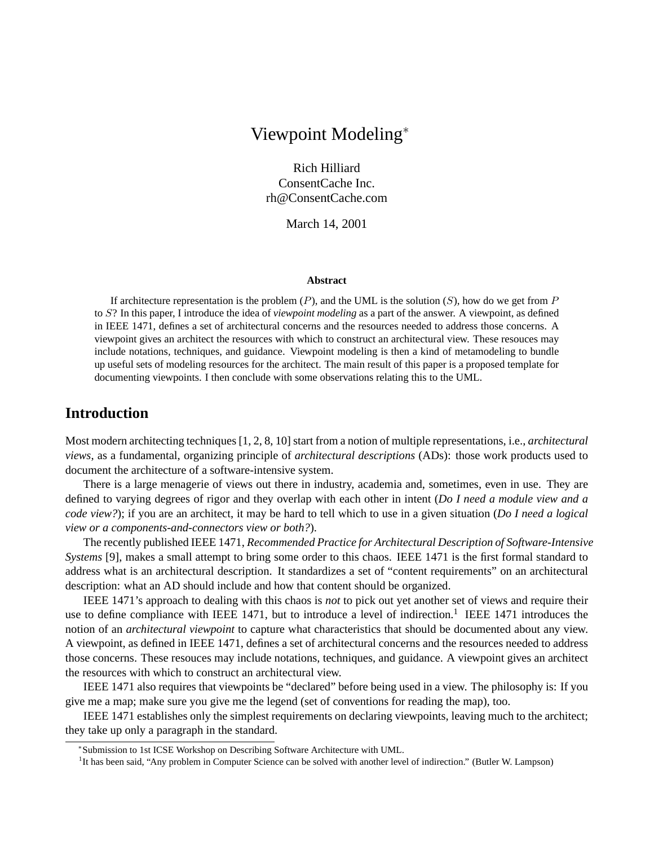# Viewpoint Modeling<sup>∗</sup>

Rich Hilliard ConsentCache Inc. rh@ConsentCache.com

March 14, 2001

#### **Abstract**

If architecture representation is the problem  $(P)$ , and the UML is the solution  $(S)$ , how do we get from P to S? In this paper, I introduce the idea of *viewpoint modeling* as a part of the answer. A viewpoint, as defined in IEEE 1471, defines a set of architectural concerns and the resources needed to address those concerns. A viewpoint gives an architect the resources with which to construct an architectural view. These resouces may include notations, techniques, and guidance. Viewpoint modeling is then a kind of metamodeling to bundle up useful sets of modeling resources for the architect. The main result of this paper is a proposed template for documenting viewpoints. I then conclude with some observations relating this to the UML.

# **Introduction**

Most modern architecting techniques [1, 2, 8, 10] start from a notion of multiple representations, i.e., *architectural views*, as a fundamental, organizing principle of *architectural descriptions* (ADs): those work products used to document the architecture of a software-intensive system.

There is a large menagerie of views out there in industry, academia and, sometimes, even in use. They are defined to varying degrees of rigor and they overlap with each other in intent (*Do I need a module view and a code view?*); if you are an architect, it may be hard to tell which to use in a given situation (*Do I need a logical view or a components-and-connectors view or both?*).

The recently published IEEE 1471, *Recommended Practice for Architectural Description of Software-Intensive Systems* [9], makes a small attempt to bring some order to this chaos. IEEE 1471 is the first formal standard to address what is an architectural description. It standardizes a set of "content requirements" on an architectural description: what an AD should include and how that content should be organized.

IEEE 1471's approach to dealing with this chaos is *not* to pick out yet another set of views and require their use to define compliance with IEEE 1471, but to introduce a level of indirection.<sup>1</sup> IEEE 1471 introduces the notion of an *architectural viewpoint* to capture what characteristics that should be documented about any view. A viewpoint, as defined in IEEE 1471, defines a set of architectural concerns and the resources needed to address those concerns. These resouces may include notations, techniques, and guidance. A viewpoint gives an architect the resources with which to construct an architectural view.

IEEE 1471 also requires that viewpoints be "declared" before being used in a view. The philosophy is: If you give me a map; make sure you give me the legend (set of conventions for reading the map), too.

IEEE 1471 establishes only the simplest requirements on declaring viewpoints, leaving much to the architect; they take up only a paragraph in the standard.

<sup>∗</sup> Submission to 1st ICSE Workshop on Describing Software Architecture with UML.

<sup>&</sup>lt;sup>1</sup>It has been said, "Any problem in Computer Science can be solved with another level of indirection." (Butler W. Lampson)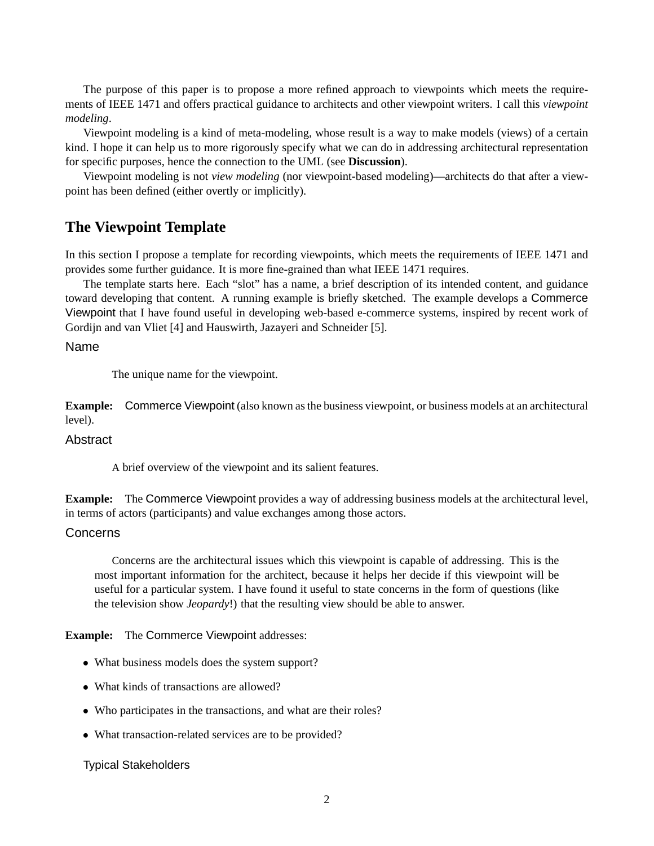The purpose of this paper is to propose a more refined approach to viewpoints which meets the requirements of IEEE 1471 and offers practical guidance to architects and other viewpoint writers. I call this *viewpoint modeling*.

Viewpoint modeling is a kind of meta-modeling, whose result is a way to make models (views) of a certain kind. I hope it can help us to more rigorously specify what we can do in addressing architectural representation for specific purposes, hence the connection to the UML (see **Discussion**).

Viewpoint modeling is not *view modeling* (nor viewpoint-based modeling)—architects do that after a viewpoint has been defined (either overtly or implicitly).

# **The Viewpoint Template**

In this section I propose a template for recording viewpoints, which meets the requirements of IEEE 1471 and provides some further guidance. It is more fine-grained than what IEEE 1471 requires.

The template starts here. Each "slot" has a name, a brief description of its intended content, and guidance toward developing that content. A running example is briefly sketched. The example develops a Commerce Viewpoint that I have found useful in developing web-based e-commerce systems, inspired by recent work of Gordijn and van Vliet [4] and Hauswirth, Jazayeri and Schneider [5].

# Name

The unique name for the viewpoint.

**Example:** Commerce Viewpoint (also known as the business viewpoint, or business models at an architectural level).

## **Abstract**

A brief overview of the viewpoint and its salient features.

**Example:** The Commerce Viewpoint provides a way of addressing business models at the architectural level, in terms of actors (participants) and value exchanges among those actors.

# Concerns

Concerns are the architectural issues which this viewpoint is capable of addressing. This is the most important information for the architect, because it helps her decide if this viewpoint will be useful for a particular system. I have found it useful to state concerns in the form of questions (like the television show *Jeopardy*!) that the resulting view should be able to answer.

**Example:** The Commerce Viewpoint addresses:

- What business models does the system support?
- What kinds of transactions are allowed?
- Who participates in the transactions, and what are their roles?
- What transaction-related services are to be provided?

# Typical Stakeholders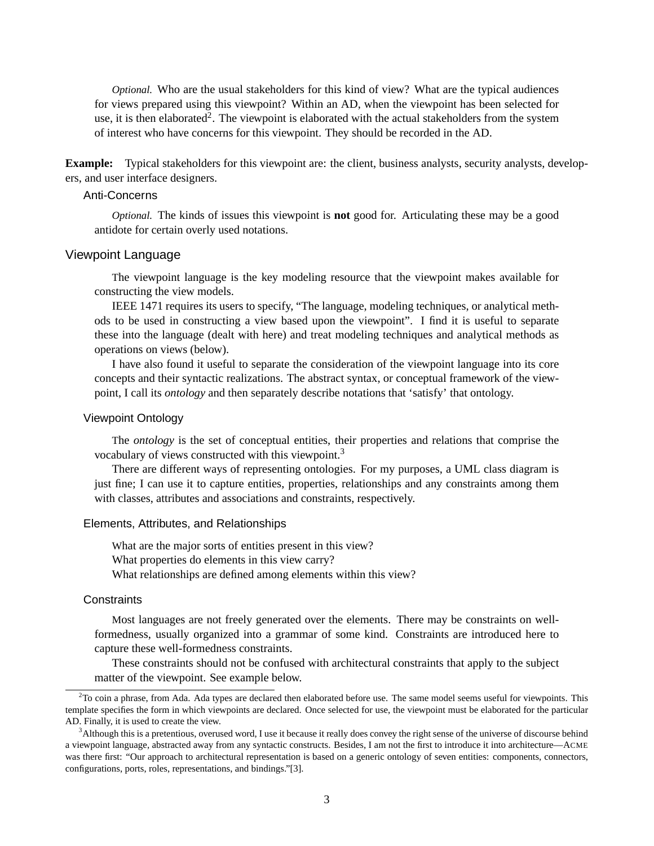*Optional.* Who are the usual stakeholders for this kind of view? What are the typical audiences for views prepared using this viewpoint? Within an AD, when the viewpoint has been selected for use, it is then elaborated<sup>2</sup>. The viewpoint is elaborated with the actual stakeholders from the system of interest who have concerns for this viewpoint. They should be recorded in the AD.

**Example:** Typical stakeholders for this viewpoint are: the client, business analysts, security analysts, developers, and user interface designers.

## Anti-Concerns

*Optional.* The kinds of issues this viewpoint is **not** good for. Articulating these may be a good antidote for certain overly used notations.

### Viewpoint Language

The viewpoint language is the key modeling resource that the viewpoint makes available for constructing the view models.

IEEE 1471 requires its users to specify, "The language, modeling techniques, or analytical methods to be used in constructing a view based upon the viewpoint". I find it is useful to separate these into the language (dealt with here) and treat modeling techniques and analytical methods as operations on views (below).

I have also found it useful to separate the consideration of the viewpoint language into its core concepts and their syntactic realizations. The abstract syntax, or conceptual framework of the viewpoint, I call its *ontology* and then separately describe notations that 'satisfy' that ontology.

### Viewpoint Ontology

The *ontology* is the set of conceptual entities, their properties and relations that comprise the vocabulary of views constructed with this viewpoint.<sup>3</sup>

There are different ways of representing ontologies. For my purposes, a UML class diagram is just fine; I can use it to capture entities, properties, relationships and any constraints among them with classes, attributes and associations and constraints, respectively.

### Elements, Attributes, and Relationships

What are the major sorts of entities present in this view? What properties do elements in this view carry? What relationships are defined among elements within this view?

#### **Constraints**

Most languages are not freely generated over the elements. There may be constraints on wellformedness, usually organized into a grammar of some kind. Constraints are introduced here to capture these well-formedness constraints.

These constraints should not be confused with architectural constraints that apply to the subject matter of the viewpoint. See example below.

 $2$ To coin a phrase, from Ada. Ada types are declared then elaborated before use. The same model seems useful for viewpoints. This template specifies the form in which viewpoints are declared. Once selected for use, the viewpoint must be elaborated for the particular AD. Finally, it is used to create the view.

<sup>&</sup>lt;sup>3</sup>Although this is a pretentious, overused word, I use it because it really does convey the right sense of the universe of discourse behind a viewpoint language, abstracted away from any syntactic constructs. Besides, I am not the first to introduce it into architecture—ACME was there first: "Our approach to architectural representation is based on a generic ontology of seven entities: components, connectors, configurations, ports, roles, representations, and bindings."[3].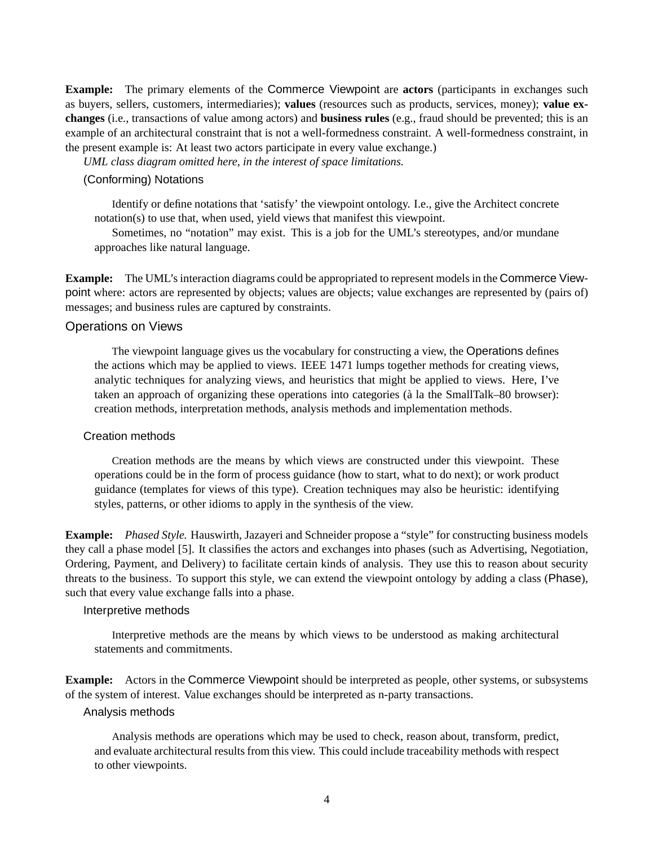**Example:** The primary elements of the Commerce Viewpoint are **actors** (participants in exchanges such as buyers, sellers, customers, intermediaries); **values** (resources such as products, services, money); **value exchanges** (i.e., transactions of value among actors) and **business rules** (e.g., fraud should be prevented; this is an example of an architectural constraint that is not a well-formedness constraint. A well-formedness constraint, in the present example is: At least two actors participate in every value exchange.)

*UML class diagram omitted here, in the interest of space limitations.*

## (Conforming) Notations

Identify or define notations that 'satisfy' the viewpoint ontology. I.e., give the Architect concrete notation(s) to use that, when used, yield views that manifest this viewpoint.

Sometimes, no "notation" may exist. This is a job for the UML's stereotypes, and/or mundane approaches like natural language.

**Example:** The UML's interaction diagrams could be appropriated to represent models in the Commerce Viewpoint where: actors are represented by objects; values are objects; value exchanges are represented by (pairs of) messages; and business rules are captured by constraints.

## Operations on Views

The viewpoint language gives us the vocabulary for constructing a view, the Operations defines the actions which may be applied to views. IEEE 1471 lumps together methods for creating views, analytic techniques for analyzing views, and heuristics that might be applied to views. Here, I've taken an approach of organizing these operations into categories (a la the SmallTalk–80 browser): ` creation methods, interpretation methods, analysis methods and implementation methods.

# Creation methods

Creation methods are the means by which views are constructed under this viewpoint. These operations could be in the form of process guidance (how to start, what to do next); or work product guidance (templates for views of this type). Creation techniques may also be heuristic: identifying styles, patterns, or other idioms to apply in the synthesis of the view.

**Example:** *Phased Style.* Hauswirth, Jazayeri and Schneider propose a "style" for constructing business models they call a phase model [5]. It classifies the actors and exchanges into phases (such as Advertising, Negotiation, Ordering, Payment, and Delivery) to facilitate certain kinds of analysis. They use this to reason about security threats to the business. To support this style, we can extend the viewpoint ontology by adding a class (Phase), such that every value exchange falls into a phase.

# Interpretive methods

Interpretive methods are the means by which views to be understood as making architectural statements and commitments.

**Example:** Actors in the Commerce Viewpoint should be interpreted as people, other systems, or subsystems of the system of interest. Value exchanges should be interpreted as n-party transactions.

### Analysis methods

Analysis methods are operations which may be used to check, reason about, transform, predict, and evaluate architectural results from this view. This could include traceability methods with respect to other viewpoints.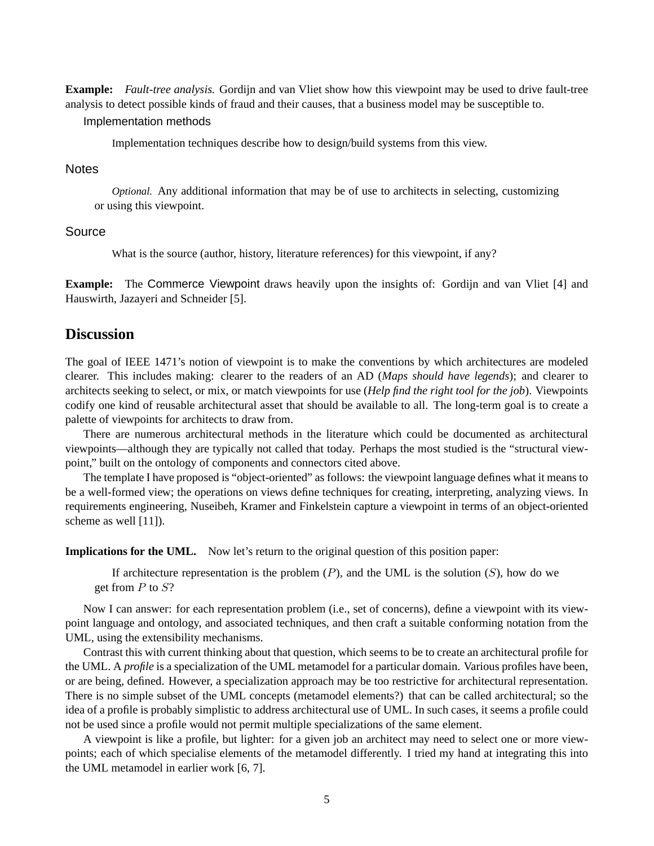**Example:** *Fault-tree analysis.* Gordijn and van Vliet show how this viewpoint may be used to drive fault-tree analysis to detect possible kinds of fraud and their causes, that a business model may be susceptible to.

#### Implementation methods

Implementation techniques describe how to design/build systems from this view.

### **Notes**

*Optional.* Any additional information that may be of use to architects in selecting, customizing or using this viewpoint.

## Source

What is the source (author, history, literature references) for this viewpoint, if any?

**Example:** The Commerce Viewpoint draws heavily upon the insights of: Gordijn and van Vliet [4] and Hauswirth, Jazayeri and Schneider [5].

# **Discussion**

The goal of IEEE 1471's notion of viewpoint is to make the conventions by which architectures are modeled clearer. This includes making: clearer to the readers of an AD (*Maps should have legends*); and clearer to architects seeking to select, or mix, or match viewpoints for use (*Help find the right tool for the job*). Viewpoints codify one kind of reusable architectural asset that should be available to all. The long-term goal is to create a palette of viewpoints for architects to draw from.

There are numerous architectural methods in the literature which could be documented as architectural viewpoints—although they are typically not called that today. Perhaps the most studied is the "structural viewpoint," built on the ontology of components and connectors cited above.

The template I have proposed is "object-oriented" as follows: the viewpoint language defines what it means to be a well-formed view; the operations on views define techniques for creating, interpreting, analyzing views. In requirements engineering, Nuseibeh, Kramer and Finkelstein capture a viewpoint in terms of an object-oriented scheme as well [11]).

**Implications for the UML.** Now let's return to the original question of this position paper:

If architecture representation is the problem  $(P)$ , and the UML is the solution  $(S)$ , how do we get from  $P$  to  $S$ ?

Now I can answer: for each representation problem (i.e., set of concerns), define a viewpoint with its viewpoint language and ontology, and associated techniques, and then craft a suitable conforming notation from the UML, using the extensibility mechanisms.

Contrast this with current thinking about that question, which seems to be to create an architectural profile for the UML. A *profile* is a specialization of the UML metamodel for a particular domain. Various profiles have been, or are being, defined. However, a specialization approach may be too restrictive for architectural representation. There is no simple subset of the UML concepts (metamodel elements?) that can be called architectural; so the idea of a profile is probably simplistic to address architectural use of UML. In such cases, it seems a profile could not be used since a profile would not permit multiple specializations of the same element.

A viewpoint is like a profile, but lighter: for a given job an architect may need to select one or more viewpoints; each of which specialise elements of the metamodel differently. I tried my hand at integrating this into the UML metamodel in earlier work [6, 7].